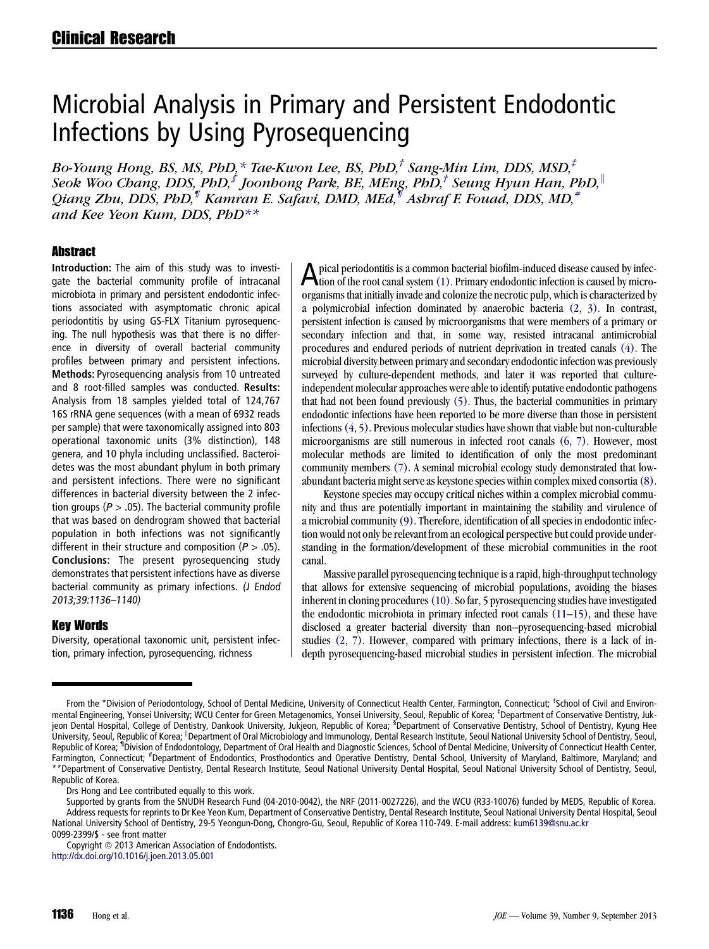# Microbial Analysis in Primary and Persistent Endodontic Infections by Using Pyrosequencing

Bo-Young Hong, BS, MS, PhD,  $*$  Tae-Kwon Lee, BS, PhD, $\dagger$  Sang-Min Lim, DDS, MSD, $\dagger$ Seok Woo Chang, DDS, PhD,<sup> $f$ </sup> Joonhong Park, BE, MEng, PhD,<sup>†</sup> Seung Hyun Han, PhD,<sup>||</sup> Qiang Zhu, DDS, PhD,<sup>¶</sup> Kamran E. Safavi, DMD, MEd,<sup>\{{\mu}}</sup> Ashraf F. Fouad, DDS, MD,<sup>#</sup> and Kee Yeon Kum, DDS,  $PbD^{**}$ 

### **Abstract**

Introduction: The aim of this study was to investigate the bacterial community profile of intracanal microbiota in primary and persistent endodontic infections associated with asymptomatic chronic apical periodontitis by using GS-FLX Titanium pyrosequencing. The null hypothesis was that there is no difference in diversity of overall bacterial community profiles between primary and persistent infections. Methods: Pyrosequencing analysis from 10 untreated and 8 root-filled samples was conducted. Results: Analysis from 18 samples yielded total of 124,767 16S rRNA gene sequences (with a mean of 6932 reads per sample) that were taxonomically assigned into 803 operational taxonomic units (3% distinction), 148 genera, and 10 phyla including unclassified. Bacteroidetes was the most abundant phylum in both primary and persistent infections. There were no significant differences in bacterial diversity between the 2 infection groups ( $P > .05$ ). The bacterial community profile that was based on dendrogram showed that bacterial population in both infections was not significantly different in their structure and composition ( $P > .05$ ). Conclusions: The present pyrosequencing study demonstrates that persistent infections have as diverse bacterial community as primary infections. (J Endod 2013;39:1136–1140)

# Key Words

Diversity, operational taxonomic unit, persistent infection, primary infection, pyrosequencing, richness

A pical periodontitis is a common bacterial biofilm-induced disease caused by infection of the root canal system [\(1\).](#page-3-0) Primary endodontic infection is caused by microorganisms that initially invade and colonize the necrotic pulp, which is characterized by a polymicrobial infection dominated by anaerobic bacteria [\(2, 3\)](#page-3-0). In contrast, persistent infection is caused by microorganisms that were members of a primary or secondary infection and that, in some way, resisted intracanal antimicrobial procedures and endured periods of nutrient deprivation in treated canals [\(4\).](#page-3-0) The microbial diversity between primary and secondary endodontic infection was previously surveyed by culture-dependent methods, and later it was reported that cultureindependent molecular approaches were able to identify putative endodontic pathogens that had not been found previously [\(5\)](#page-3-0). Thus, the bacterial communities in primary endodontic infections have been reported to be more diverse than those in persistent infections[\(4, 5\)](#page-3-0). Previous molecular studies have shown that viable but non-culturable microorganisms are still numerous in infected root canals [\(6, 7\)](#page-3-0). However, most molecular methods are limited to identification of only the most predominant community members [\(7\).](#page-3-0) A seminal microbial ecology study demonstrated that lowabundant bacteria might serve as keystone species within complex mixed consortia[\(8\).](#page-3-0)

Keystone species may occupy critical niches within a complex microbial community and thus are potentially important in maintaining the stability and virulence of a microbial community[\(9\)](#page-3-0). Therefore, identification of all species in endodontic infection would not only be relevant from an ecological perspective but could provide understanding in the formation/development of these microbial communities in the root canal.

Massive parallel pyrosequencing technique is a rapid, high-throughput technology that allows for extensive sequencing of microbial populations, avoiding the biases inherent in cloning procedures [\(10\).](#page-3-0) So far, 5 pyrosequencing studies have investigated the endodontic microbiota in primary infected root canals [\(11–15\),](#page-3-0) and these have disclosed a greater bacterial diversity than non–pyrosequencing-based microbial studies [\(2, 7\).](#page-3-0) However, compared with primary infections, there is a lack of indepth pyrosequencing-based microbial studies in persistent infection. The microbial

Drs Hong and Lee contributed equally to this work.

Supported by grants from the SNUDH Research Fund (04-2010-0042), the NRF (2011-0027226), and the WCU (R33-10076) funded by MEDS, Republic of Korea. Address requests for reprints to Dr Kee Yeon Kum, Department of Conservative Dentistry, Dental Research Institute, Seoul National University Dental Hospital, Seoul National University School of Dentistry, 29-5 Yeongun-Dong, Chongro-Gu, Seoul, Republic of Korea 110-749. E-mail address: [kum6139@snu.ac.kr](mailto:kum6139@snu.ac.kr) 0099-2399/\$ - see front matter

From the \*Division of Periodontology, School of Dental Medicine, University of Connecticut Health Center, Farmington, Connecticut; <sup>†</sup>School of Civil and Environmental Engineering, Yonsei University; WCU Center for Green Metagenomics, Yonsei University, Seoul, Republic of Korea; <sup>‡</sup>Department of Conservative Dentistry, Jukjeon Dental Hospital, College of Dentistry, Dankook University, Jukjeon, Republic of Korea; <sup>s</sup>Department of Conservative Dentistry, School of Dentistry, Kyung Hee University, Seoul, Republic of Korea; "Department of Oral Microbiology and Immunology, Dental Research Institute, Seoul National University School of Dentistry, Seoul, Republic of Korea; <sup>11</sup>Division of Endodontology, Department of Oral Health and Diagnostic Sciences, School of Dental Medicine, University of Connecticut Health Center, Farmington, Connecticut; <sup>#</sup>Department of Endodontics, Prosthodontics and Operative Dentistry, Dental School, University of Maryland, Baltimore, Maryland; and \*\*Department of Conservative Dentistry, Dental Research Institute, Seoul National University Dental Hospital, Seoul National University School of Dentistry, Seoul, Republic of Korea.

Copyright © 2013 American Association of Endodontists. <http://dx.doi.org/10.1016/j.joen.2013.05.001>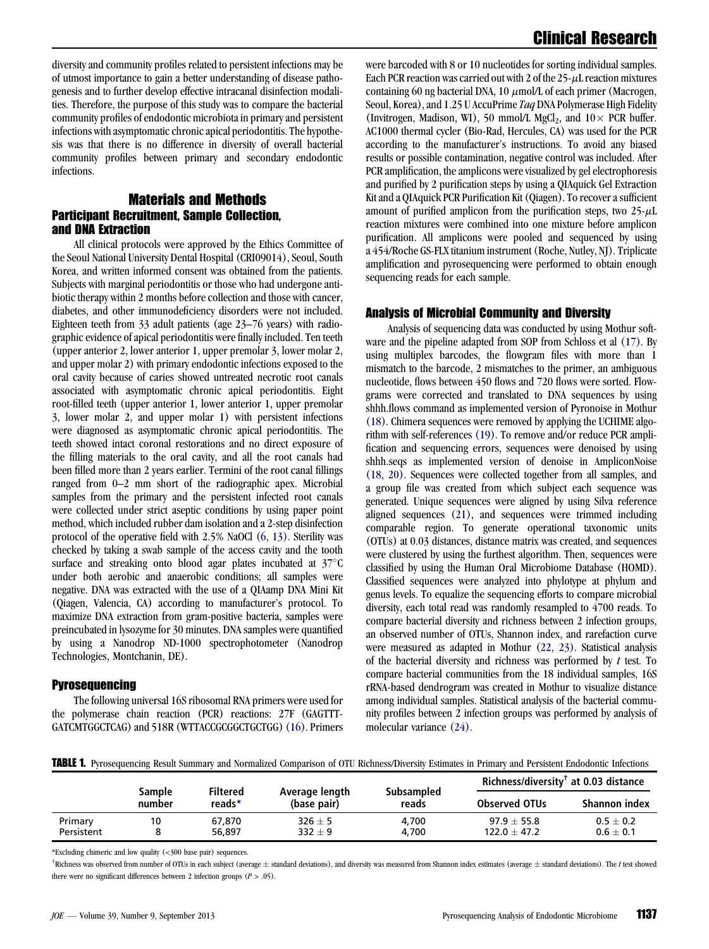<span id="page-1-0"></span>diversity and community profiles related to persistent infections may be of utmost importance to gain a better understanding of disease pathogenesis and to further develop effective intracanal disinfection modalities. Therefore, the purpose of this study was to compare the bacterial community profiles of endodontic microbiota in primary and persistent infections with asymptomatic chronic apical periodontitis. The hypothesis was that there is no difference in diversity of overall bacterial community profiles between primary and secondary endodontic infections.

# Materials and Methods Participant Recruitment, Sample Collection, and DNA Extraction

All clinical protocols were approved by the Ethics Committee of the Seoul National University Dental Hospital (CRI09014), Seoul, South Korea, and written informed consent was obtained from the patients. Subjects with marginal periodontitis or those who had undergone antibiotic therapy within 2 months before collection and those with cancer, diabetes, and other immunodeficiency disorders were not included. Eighteen teeth from 33 adult patients (age 23–76 years) with radiographic evidence of apical periodontitis were finally included. Ten teeth (upper anterior 2, lower anterior 1, upper premolar 3, lower molar 2, and upper molar 2) with primary endodontic infections exposed to the oral cavity because of caries showed untreated necrotic root canals associated with asymptomatic chronic apical periodontitis. Eight root-filled teeth (upper anterior 1, lower anterior 1, upper premolar 3, lower molar 2, and upper molar 1) with persistent infections were diagnosed as asymptomatic chronic apical periodontitis. The teeth showed intact coronal restorations and no direct exposure of the filling materials to the oral cavity, and all the root canals had been filled more than 2 years earlier. Termini of the root canal fillings ranged from 0–2 mm short of the radiographic apex. Microbial samples from the primary and the persistent infected root canals were collected under strict aseptic conditions by using paper point method, which included rubber dam isolation and a 2-step disinfection protocol of the operative field with 2.5% NaOCl [\(6, 13\)](#page-3-0). Sterility was checked by taking a swab sample of the access cavity and the tooth surface and streaking onto blood agar plates incubated at  $37^{\circ}$ C under both aerobic and anaerobic conditions; all samples were negative. DNA was extracted with the use of a QIAamp DNA Mini Kit (Qiagen, Valencia, CA) according to manufacturer's protocol. To maximize DNA extraction from gram-positive bacteria, samples were preincubated in lysozyme for 30 minutes. DNA samples were quantified by using a Nanodrop ND-1000 spectrophotometer (Nanodrop Technologies, Montchanin, DE).

#### Pyrosequencing

The following universal 16S ribosomal RNA primers were used for the polymerase chain reaction (PCR) reactions: 27F (GAGTTT-GATCMTGGCTCAG) and 518R (WTTACCGCGGCTGCTGG)[\(16\)](#page-3-0). Primers were barcoded with 8 or 10 nucleotides for sorting individual samples. Each PCR reaction was carried out with 2 of the  $25-\mu$ L reaction mixtures containing 60 ng bacterial DNA, 10  $\mu$ mol/L of each primer (Macrogen, Seoul, Korea), and 1.25 U AccuPrime Taq DNA Polymerase High Fidelity (Invitrogen, Madison, WI), 50 mmol/L MgCl<sub>2</sub>, and  $10 \times$  PCR buffer. AC1000 thermal cycler (Bio-Rad, Hercules, CA) was used for the PCR according to the manufacturer's instructions. To avoid any biased results or possible contamination, negative control was included. After PCR amplification, the amplicons were visualized by gel electrophoresis and purified by 2 purification steps by using a QIAquick Gel Extraction Kit and a QIAquick PCR Purification Kit (Qiagen). To recover a sufficient amount of purified amplicon from the purification steps, two  $25-\mu L$ reaction mixtures were combined into one mixture before amplicon purification. All amplicons were pooled and sequenced by using a 454/Roche GS-FLX titanium instrument (Roche, Nutley, NJ). Triplicate amplification and pyrosequencing were performed to obtain enough sequencing reads for each sample.

#### Analysis of Microbial Community and Diversity

Analysis of sequencing data was conducted by using Mothur software and the pipeline adapted from SOP from Schloss et al [\(17\).](#page-3-0) By using multiplex barcodes, the flowgram files with more than 1 mismatch to the barcode, 2 mismatches to the primer, an ambiguous nucleotide, flows between 450 flows and 720 flows were sorted. Flowgrams were corrected and translated to DNA sequences by using shhh.flows command as implemented version of Pyronoise in Mothur [\(18\).](#page-3-0) Chimera sequences were removed by applying the UCHIME algorithm with self-references [\(19\).](#page-3-0) To remove and/or reduce PCR amplification and sequencing errors, sequences were denoised by using shhh.seqs as implemented version of denoise in AmpliconNoise [\(18, 20\)](#page-3-0). Sequences were collected together from all samples, and a group file was created from which subject each sequence was generated. Unique sequences were aligned by using Silva reference aligned sequences [\(21\),](#page-3-0) and sequences were trimmed including comparable region. To generate operational taxonomic units (OTUs) at 0.03 distances, distance matrix was created, and sequences were clustered by using the furthest algorithm. Then, sequences were classified by using the Human Oral Microbiome Database (HOMD). Classified sequences were analyzed into phylotype at phylum and genus levels. To equalize the sequencing efforts to compare microbial diversity, each total read was randomly resampled to 4700 reads. To compare bacterial diversity and richness between 2 infection groups, an observed number of OTUs, Shannon index, and rarefaction curve were measured as adapted in Mothur [\(22, 23\).](#page-4-0) Statistical analysis of the bacterial diversity and richness was performed by  $t$  test. To compare bacterial communities from the 18 individual samples, 16S rRNA-based dendrogram was created in Mothur to visualize distance among individual samples. Statistical analysis of the bacterial community profiles between 2 infection groups was performed by analysis of molecular variance [\(24\).](#page-4-0)

TABLE 1. Pyrosequencing Result Summary and Normalized Comparison of OTU Richness/Diversity Estimates in Primary and Persistent Endodontic Infections

|            | Sample<br>number | <b>Filtered</b><br>reads* | Average length<br>(base pair) | Subsampled<br>reads | Richness/diversity <sup>†</sup> at 0.03 distance |               |
|------------|------------------|---------------------------|-------------------------------|---------------------|--------------------------------------------------|---------------|
|            |                  |                           |                               |                     | <b>Observed OTUs</b>                             | Shannon index |
| Primary    | 10               | 67.870                    | $326 \pm 5$                   | 4.700               | $97.9 + 55.8$                                    | $0.5 \pm 0.2$ |
| Persistent |                  | 56,897                    | $332 \pm 9$                   | 4.700               | $122.0 + 47.2$                                   | $0.6 \pm 0.1$ |

\*Excluding chimeric and low quality (<300 base pair) sequences.

 $^{\dagger}$ Richness was observed from number of OTUs in each subject (average  $\pm$  standard deviations), and diversity was measured from Shannon index estimates (average  $\pm$  standard deviations). The  $t$  test showed there were no significant differences between 2 infection groups  $(P > .05)$ .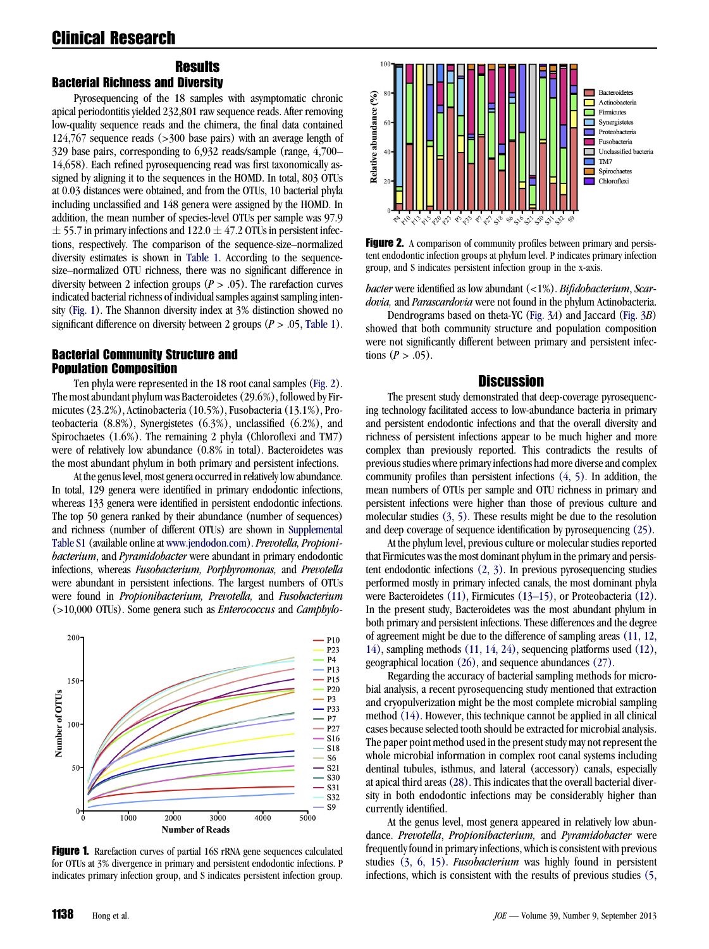#### **Results** Bacterial Richness and Diversity

Pyrosequencing of the 18 samples with asymptomatic chronic apical periodontitis yielded 232,801 raw sequence reads. After removing low-quality sequence reads and the chimera, the final data contained 124,767 sequence reads (>300 base pairs) with an average length of 329 base pairs, corresponding to 6,932 reads/sample (range, 4,700– 14,658). Each refined pyrosequencing read was first taxonomically assigned by aligning it to the sequences in the HOMD. In total, 803 OTUs at 0.03 distances were obtained, and from the OTUs, 10 bacterial phyla including unclassified and 148 genera were assigned by the HOMD. In addition, the mean number of species-level OTUs per sample was 97.9  $\pm$  55.7 in primary infections and 122.0  $\pm$  47.2 OTUs in persistent infections, respectively. The comparison of the sequence-size–normalized diversity estimates is shown in [Table 1](#page-1-0). According to the sequencesize–normalized OTU richness, there was no significant difference in diversity between 2 infection groups ( $P > .05$ ). The rarefaction curves indicated bacterial richness of individual samples against sampling intensity (Fig. 1). The Shannon diversity index at 3% distinction showed no significant difference on diversity between 2 groups ( $P > .05$ , [Table 1](#page-1-0)).

# Bacterial Community Structure and Population Composition

Ten phyla were represented in the 18 root canal samples (Fig. 2). The most abundant phylum was Bacteroidetes (29.6%), followed by Firmicutes (23.2%), Actinobacteria (10.5%), Fusobacteria (13.1%), Proteobacteria (8.8%), Synergistetes (6.3%), unclassified (6.2%), and Spirochaetes (1.6%). The remaining 2 phyla (Chloroflexi and TM7) were of relatively low abundance (0.8% in total). Bacteroidetes was the most abundant phylum in both primary and persistent infections.

At the genus level, most genera occurred in relatively low abundance. In total, 129 genera were identified in primary endodontic infections, whereas 133 genera were identified in persistent endodontic infections. The top 50 genera ranked by their abundance (number of sequences) and richness (number of different OTUs) are shown in Supplemental Table S1 (available online at [www.jendodon.com\)](http://www.jendodon.com). Prevotella, Propionibacterium, and Pyramidobacter were abundant in primary endodontic infections, whereas Fusobacterium, Porphyromonas, and Prevotella were abundant in persistent infections. The largest numbers of OTUs were found in Propionibacterium, Prevotella, and Fusobacterium  $(>10,000$  OTUs). Some genera such as *Enterococcus* and *Camphylo*-



Figure 1. Rarefaction curves of partial 16S rRNA gene sequences calculated for OTUs at 3% divergence in primary and persistent endodontic infections. P indicates primary infection group, and S indicates persistent infection group.



Figure 2. A comparison of community profiles between primary and persistent endodontic infection groups at phylum level. P indicates primary infection group, and S indicates persistent infection group in the x-axis.

bacter were identified as low abundant  $\left\langle \langle 1\% \rangle \right\rangle$ . Bifidobacterium, Scardovia, and Parascardovia were not found in the phylum Actinobacteria.

Dendrograms based on theta-YC [\(Fig. 3](#page-3-0)A) and Jaccard [\(Fig. 3](#page-3-0)B) showed that both community structure and population composition were not significantly different between primary and persistent infections  $(P > .05)$ .

#### **Discussion**

The present study demonstrated that deep-coverage pyrosequencing technology facilitated access to low-abundance bacteria in primary and persistent endodontic infections and that the overall diversity and richness of persistent infections appear to be much higher and more complex than previously reported. This contradicts the results of previous studies where primary infections had more diverse and complex community profiles than persistent infections [\(4, 5\).](#page-3-0) In addition, the mean numbers of OTUs per sample and OTU richness in primary and persistent infections were higher than those of previous culture and molecular studies  $(3, 5)$ . These results might be due to the resolution and deep coverage of sequence identification by pyrosequencing [\(25\)](#page-4-0).

At the phylum level, previous culture or molecular studies reported that Firmicutes was the most dominant phylum in the primary and persistent endodontic infections [\(2, 3\)](#page-3-0). In previous pyrosequencing studies performed mostly in primary infected canals, the most dominant phyla were Bacteroidetes [\(11\),](#page-3-0) Firmicutes [\(13–15\),](#page-3-0) or Proteobacteria [\(12\).](#page-3-0) In the present study, Bacteroidetes was the most abundant phylum in both primary and persistent infections. These differences and the degree of agreement might be due to the difference of sampling areas [\(11, 12,](#page-3-0) [14\)](#page-3-0), sampling methods [\(11, 14, 24\)](#page-3-0), sequencing platforms used [\(12\),](#page-3-0) geographical location [\(26\)](#page-4-0), and sequence abundances [\(27\)](#page-4-0).

Regarding the accuracy of bacterial sampling methods for microbial analysis, a recent pyrosequencing study mentioned that extraction and cryopulverization might be the most complete microbial sampling method [\(14\).](#page-3-0) However, this technique cannot be applied in all clinical cases because selected tooth should be extracted for microbial analysis. The paper point method used in the present study may not represent the whole microbial information in complex root canal systems including dentinal tubules, isthmus, and lateral (accessory) canals, especially at apical third areas[\(28\).](#page-4-0) This indicates that the overall bacterial diversity in both endodontic infections may be considerably higher than currently identified.

At the genus level, most genera appeared in relatively low abundance. Prevotella, Propionibacterium, and Pyramidobacter were frequently found in primary infections, which is consistent with previous studies [\(3, 6, 15\).](#page-3-0) Fusobacterium was highly found in persistent infections, which is consistent with the results of previous studies [\(5,](#page-3-0)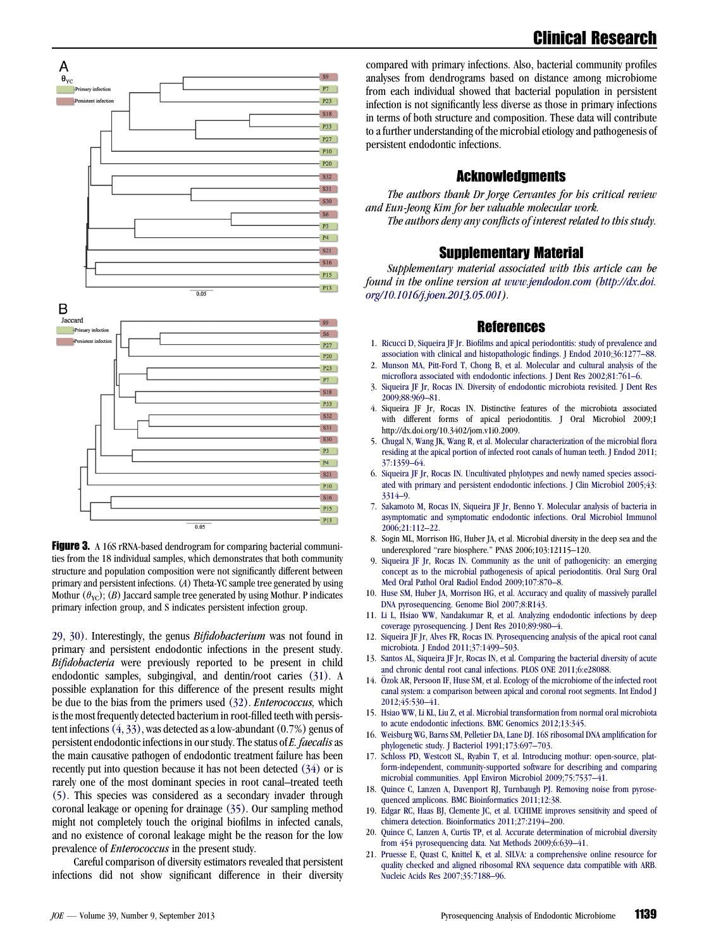

<span id="page-3-0"></span>



Figure 3. A 16S rRNA-based dendrogram for comparing bacterial communities from the 18 individual samples, which demonstrates that both community structure and population composition were not significantly different between primary and persistent infections. (A) Theta-YC sample tree generated by using Mothur  $(\theta_{\text{VC}})$ ; (B) Jaccard sample tree generated by using Mothur. P indicates primary infection group, and S indicates persistent infection group.

29, 30). Interestingly, the genus Bifidobacterium was not found in primary and persistent endodontic infections in the present study. Bifidobacteria were previously reported to be present in child endodontic samples, subgingival, and dentin/root caries [\(31\)](#page-4-0). A possible explanation for this difference of the present results might be due to the bias from the primers used [\(32\)](#page-4-0). Enterococcus, which is the most frequently detected bacterium in root-filled teeth with persistent infections(4, 33), was detected as a low-abundant (0.7%) genus of persistent endodontic infections in our study. The status of E. faecalis as the main causative pathogen of endodontic treatment failure has been recently put into question because it has not been detected [\(34\)](#page-4-0) or is rarely one of the most dominant species in root canal–treated teeth (5). This species was considered as a secondary invader through coronal leakage or opening for drainage [\(35\).](#page-4-0) Our sampling method might not completely touch the original biofilms in infected canals, and no existence of coronal leakage might be the reason for the low prevalence of *Enterococcus* in the present study.

Careful comparison of diversity estimators revealed that persistent infections did not show significant difference in their diversity

compared with primary infections. Also, bacterial community profiles analyses from dendrograms based on distance among microbiome from each individual showed that bacterial population in persistent infection is not significantly less diverse as those in primary infections in terms of both structure and composition. These data will contribute to a further understanding of the microbial etiology and pathogenesis of persistent endodontic infections.

# **Acknowledgments**

The authors thank Dr Jorge Cervantes for his critical review and Eun-Jeong Kim for her valuable molecular work. The authors deny any conflicts of interest related to this study.

### Supplementary Material

Supplementary material associated with this article can be found in the online version at [www.jendodon.com](http://www.jendodon.com) ([http://dx.doi.](http://dx.doi.org/10.1016/j.joen.2013.05.001) [org/10.1016/j.joen.2013.05.001](http://dx.doi.org/10.1016/j.joen.2013.05.001)).

#### References

- 1. [Ricucci D, Siqueira JF Jr. Biofilms and apical periodontitis: study of prevalence and](http://refhub.elsevier.com/S0099-2399(13)00538-4/sref1) [association with clinical and histopathologic findings. J Endod 2010;36:1277–88](http://refhub.elsevier.com/S0099-2399(13)00538-4/sref1).
- 2. [Munson MA, Pitt-Ford T, Chong B, et al. Molecular and cultural analysis of the](http://refhub.elsevier.com/S0099-2399(13)00538-4/sref2) [microflora associated with endodontic infections. J Dent Res 2002;81:761–6](http://refhub.elsevier.com/S0099-2399(13)00538-4/sref2).
- 3. [Siqueira JF Jr, Rocas IN. Diversity of endodontic microbiota revisited. J Dent Res](http://refhub.elsevier.com/S0099-2399(13)00538-4/sref3) [2009;88:969–81.](http://refhub.elsevier.com/S0099-2399(13)00538-4/sref3)
- 4. Siqueira JF Jr, Rocas IN. Distinctive features of the microbiota associated with different forms of apical periodontitis. J Oral Microbiol 2009;1 http://dx.doi.org/10.3402/jom.v1i0.2009.
- 5. [Chugal N, Wang JK, Wang R, et al. Molecular characterization of the microbial flora](http://refhub.elsevier.com/S0099-2399(13)00538-4/sref5) [residing at the apical portion of infected root canals of human teeth. J Endod 2011;](http://refhub.elsevier.com/S0099-2399(13)00538-4/sref5) [37:1359–64](http://refhub.elsevier.com/S0099-2399(13)00538-4/sref5).
- 6. [Siqueira JF Jr, Rocas IN. Uncultivated phylotypes and newly named species associ](http://refhub.elsevier.com/S0099-2399(13)00538-4/sref6)[ated with primary and persistent endodontic infections. J Clin Microbiol 2005;43:](http://refhub.elsevier.com/S0099-2399(13)00538-4/sref6) [3314–9.](http://refhub.elsevier.com/S0099-2399(13)00538-4/sref6)
- 7. [Sakamoto M, Rocas IN, Siqueira JF Jr, Benno Y. Molecular analysis of bacteria in](http://refhub.elsevier.com/S0099-2399(13)00538-4/sref7) [asymptomatic and symptomatic endodontic infections. Oral Microbiol Immunol](http://refhub.elsevier.com/S0099-2399(13)00538-4/sref7) [2006;21:112–22.](http://refhub.elsevier.com/S0099-2399(13)00538-4/sref7)
- 8. Sogin ML, Morrison HG, Huber JA, et al. Microbial diversity in the deep sea and the underexplored ''rare biosphere.'' PNAS 2006;103:12115–120.
- 9. [Siqueira JF Jr, Rocas IN. Community as the unit of pathogenicity: an emerging](http://refhub.elsevier.com/S0099-2399(13)00538-4/sref8) [concept as to the microbial pathogenesis of apical periodontitis. Oral Surg Oral](http://refhub.elsevier.com/S0099-2399(13)00538-4/sref8) [Med Oral Pathol Oral Radiol Endod 2009;107:870–8](http://refhub.elsevier.com/S0099-2399(13)00538-4/sref8).
- 10. [Huse SM, Huber JA, Morrison HG, et al. Accuracy and quality of massively parallel](http://refhub.elsevier.com/S0099-2399(13)00538-4/sref9) [DNA pyrosequencing. Genome Biol 2007;8:R143.](http://refhub.elsevier.com/S0099-2399(13)00538-4/sref9)
- 11. [Li L, Hsiao WW, Nandakumar R, et al. Analyzing endodontic infections by deep](http://refhub.elsevier.com/S0099-2399(13)00538-4/sref10) [coverage pyrosequencing. J Dent Res 2010;89:980–4.](http://refhub.elsevier.com/S0099-2399(13)00538-4/sref10)
- 12. [Siqueira JF Jr, Alves FR, Rocas IN. Pyrosequencing analysis of the apical root canal](http://refhub.elsevier.com/S0099-2399(13)00538-4/sref11) [microbiota. J Endod 2011;37:1499–503.](http://refhub.elsevier.com/S0099-2399(13)00538-4/sref11)
- 13. [Santos AL, Siqueira JF Jr, Rocas IN, et al. Comparing the bacterial diversity of acute](http://refhub.elsevier.com/S0099-2399(13)00538-4/sref12) [and chronic dental root canal infections. PLOS ONE 2011;6:e28088.](http://refhub.elsevier.com/S0099-2399(13)00538-4/sref12)
- 14. Ö[zok AR, Persoon IF, Huse SM, et al. Ecology of the microbiome of the infected root](http://refhub.elsevier.com/S0099-2399(13)00538-4/sref13) [canal system: a comparison between apical and coronal root segments. Int Endod J](http://refhub.elsevier.com/S0099-2399(13)00538-4/sref13) [2012;45:530–41](http://refhub.elsevier.com/S0099-2399(13)00538-4/sref13).
- 15. [Hsiao WW, Li KL, Liu Z, et al. Microbial transformation from normal oral microbiota](http://refhub.elsevier.com/S0099-2399(13)00538-4/sref14) [to acute endodontic infections. BMC Genomics 2012;13:345](http://refhub.elsevier.com/S0099-2399(13)00538-4/sref14).
- 16. [Weisburg WG, Barns SM, Pelletier DA, Lane DJ. 16S ribosomal DNA amplification for](http://refhub.elsevier.com/S0099-2399(13)00538-4/sref15) [phylogenetic study. J Bacteriol 1991;173:697–703](http://refhub.elsevier.com/S0099-2399(13)00538-4/sref15).
- 17. [Schloss PD, Westcott SL, Ryabin T, et al. Introducing mothur: open-source, plat](http://refhub.elsevier.com/S0099-2399(13)00538-4/sref16)[form-independent, community-supported software for describing and comparing](http://refhub.elsevier.com/S0099-2399(13)00538-4/sref16) [microbial communities. Appl Environ Microbiol 2009;75:7537–41.](http://refhub.elsevier.com/S0099-2399(13)00538-4/sref16)
- 18. [Quince C, Lanzen A, Davenport RJ, Turnbaugh PJ. Removing noise from pyrose](http://refhub.elsevier.com/S0099-2399(13)00538-4/sref17)[quenced amplicons. BMC Bioinformatics 2011;12:38.](http://refhub.elsevier.com/S0099-2399(13)00538-4/sref17)
- 19. [Edgar RC, Haas BJ, Clemente JC, et al. UCHIME improves sensitivity and speed of](http://refhub.elsevier.com/S0099-2399(13)00538-4/sref18) [chimera detection. Bioinformatics 2011;27:2194–200](http://refhub.elsevier.com/S0099-2399(13)00538-4/sref18).
- 20. [Quince C, Lanzen A, Curtis TP, et al. Accurate determination of microbial diversity](http://refhub.elsevier.com/S0099-2399(13)00538-4/sref19) [from 454 pyrosequencing data. Nat Methods 2009;6:639–41.](http://refhub.elsevier.com/S0099-2399(13)00538-4/sref19)
- 21. [Pruesse E, Quast C, Knittel K, et al. SILVA: a comprehensive online resource for](http://refhub.elsevier.com/S0099-2399(13)00538-4/sref20) [quality checked and aligned ribosomal RNA sequence data compatible with ARB.](http://refhub.elsevier.com/S0099-2399(13)00538-4/sref20) [Nucleic Acids Res 2007;35:7188–96.](http://refhub.elsevier.com/S0099-2399(13)00538-4/sref20)